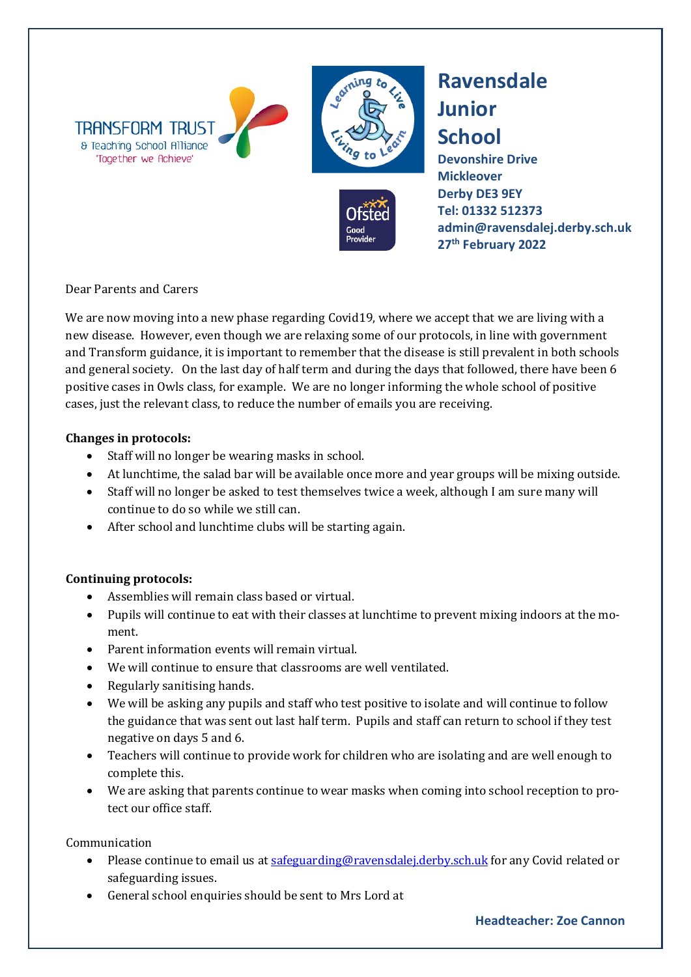

## **Ravensdale Junior School**

**Devonshire Drive Mickleover Derby DE3 9EY [Tel: 01332](tel:01332) 512373 admin@ravensdalej.derby.sch.uk 27th February 2022**

Dear Parents and Carers

We are now moving into a new phase regarding Covid19, where we accept that we are living with a new disease. However, even though we are relaxing some of our protocols, in line with government and Transform guidance, it is important to remember that the disease is still prevalent in both schools and general society. On the last day of half term and during the days that followed, there have been 6 positive cases in Owls class, for example. We are no longer informing the whole school of positive cases, just the relevant class, to reduce the number of emails you are receiving.

## **Changes in protocols:**

- Staff will no longer be wearing masks in school.
- At lunchtime, the salad bar will be available once more and year groups will be mixing outside.
- Staff will no longer be asked to test themselves twice a week, although I am sure many will continue to do so while we still can.
- After school and lunchtime clubs will be starting again.

## **Continuing protocols:**

- Assemblies will remain class based or virtual.
- Pupils will continue to eat with their classes at lunchtime to prevent mixing indoors at the moment.
- Parent information events will remain virtual.
- We will continue to ensure that classrooms are well ventilated.
- Regularly sanitising hands.
- We will be asking any pupils and staff who test positive to isolate and will continue to follow the guidance that was sent out last half term. Pupils and staff can return to school if they test negative on days 5 and 6.
- Teachers will continue to provide work for children who are isolating and are well enough to complete this.
- We are asking that parents continue to wear masks when coming into school reception to protect our office staff.

Communication

- Please continue to email us at safeguarding@ravensdalei.derby.sch.uk for any Covid related or safeguarding issues.
- General school enquiries should be sent to Mrs Lord at

## **Headteacher: Zoe Cannon**